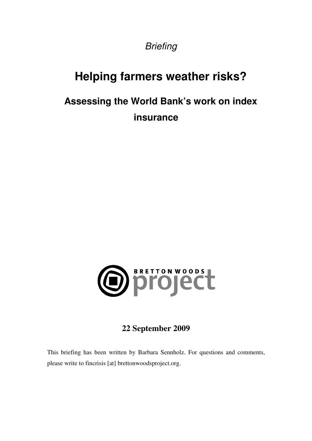**Briefing** 

# **Helping farmers weather risks?**

# **Assessing the World Bank's work on index insurance**



## **22 September 2009**

This briefing has been written by Barbara Sennholz. For questions and comments, please write to fincrisis [at] brettonwoodsproject.org.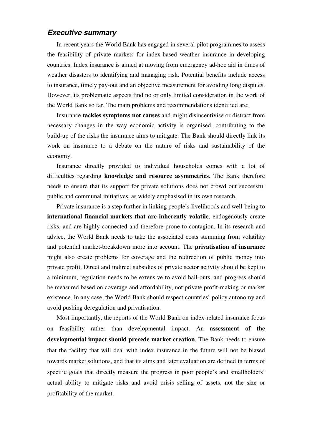### **Executive summary**

In recent years the World Bank has engaged in several pilot programmes to assess the feasibility of private markets for index-based weather insurance in developing countries. Index insurance is aimed at moving from emergency ad-hoc aid in times of weather disasters to identifying and managing risk. Potential benefits include access to insurance, timely pay-out and an objective measurement for avoiding long disputes. However, its problematic aspects find no or only limited consideration in the work of the World Bank so far. The main problems and recommendations identified are:

Insurance **tackles symptoms not causes** and might disincentivise or distract from necessary changes in the way economic activity is organised, contributing to the build-up of the risks the insurance aims to mitigate. The Bank should directly link its work on insurance to a debate on the nature of risks and sustainability of the economy.

Insurance directly provided to individual households comes with a lot of difficulties regarding **knowledge and resource asymmetries**. The Bank therefore needs to ensure that its support for private solutions does not crowd out successful public and communal initiatives, as widely emphasised in its own research.

Private insurance is a step further in linking people's livelihoods and well-being to **international financial markets that are inherently volatile**, endogenously create risks, and are highly connected and therefore prone to contagion. In its research and advice, the World Bank needs to take the associated costs stemming from volatility and potential market-breakdown more into account. The **privatisation of insurance** might also create problems for coverage and the redirection of public money into private profit. Direct and indirect subsidies of private sector activity should be kept to a minimum, regulation needs to be extensive to avoid bail-outs, and progress should be measured based on coverage and affordability, not private profit-making or market existence. In any case, the World Bank should respect countries' policy autonomy and avoid pushing deregulation and privatisation.

Most importantly, the reports of the World Bank on index-related insurance focus on feasibility rather than developmental impact. An **assessment of the developmental impact should precede market creation**. The Bank needs to ensure that the facility that will deal with index insurance in the future will not be biased towards market solutions, and that its aims and later evaluation are defined in terms of specific goals that directly measure the progress in poor people's and smallholders' actual ability to mitigate risks and avoid crisis selling of assets, not the size or profitability of the market.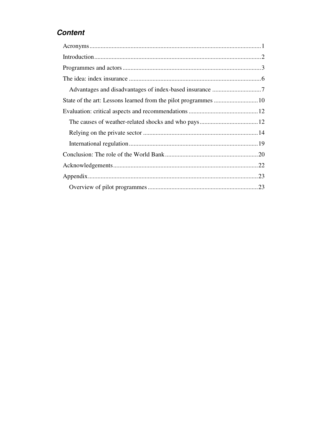### **Content**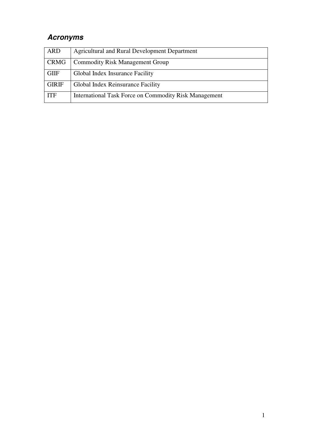# **Acronyms**

| <b>ARD</b>   | <b>Agricultural and Rural Development Department</b>  |
|--------------|-------------------------------------------------------|
| CRMG         | <b>Commodity Risk Management Group</b>                |
| <b>GIIF</b>  | Global Index Insurance Facility                       |
| <b>GIRIF</b> | Global Index Reinsurance Facility                     |
| <b>ITF</b>   | International Task Force on Commodity Risk Management |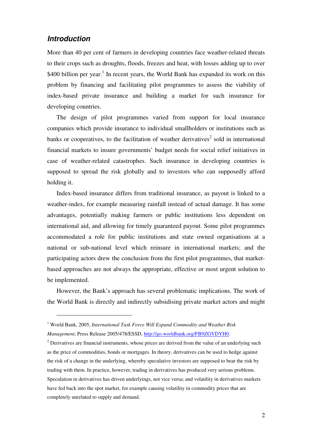### **Introduction**

 $\overline{a}$ 

More than 40 per cent of farmers in developing countries face weather-related threats to their crops such as droughts, floods, freezes and heat, with losses adding up to over  $$400$  billion per year.<sup>1</sup> In recent years, the World Bank has expanded its work on this problem by financing and facilitating pilot programmes to assess the viability of index-based private insurance and building a market for such insurance for developing countries.

The design of pilot programmes varied from support for local insurance companies which provide insurance to individual smallholders or institutions such as banks or cooperatives, to the facilitation of weather derivatives<sup>2</sup> sold in international financial markets to insure governments' budget needs for social relief initiatives in case of weather-related catastrophes. Such insurance in developing countries is supposed to spread the risk globally and to investors who can supposedly afford holding it.

Index-based insurance differs from traditional insurance, as payout is linked to a weather-index, for example measuring rainfall instead of actual damage. It has some advantages, potentially making farmers or public institutions less dependent on international aid, and allowing for timely guaranteed payout. Some pilot programmes accommodated a role for public institutions and state owned organisations at a national or sub-national level which reinsure in international markets; and the participating actors drew the conclusion from the first pilot programmes, that marketbased approaches are not always the appropriate, effective or most urgent solution to be implemented.

However, the Bank's approach has several problematic implications. The work of the World Bank is directly and indirectly subsidising private market actors and might

<sup>&</sup>lt;sup>1</sup> World Bank, 2005, *International Task Force Will Expand Commodity and Weather Risk Management*, Press Release 2005/478/ESSD, http://go.worldbank.org/FB9ZGVDYH0.

 $2^{2}$  Derivatives are financial instruments, whose prices are derived from the value of an underlying such as the price of commodities, bonds or mortgages. In theory, derivatives can be used to hedge against the risk of a change in the underlying, whereby speculative investors are supposed to bear the risk by trading with them. In practice, however, trading in derivatives has produced very serious problems. Speculation in derivatives has driven underlyings, not vice versa; and volatility in derivatives markets have fed back into the spot market, for example causing volatility in commodity prices that are completely unrelated to supply and demand.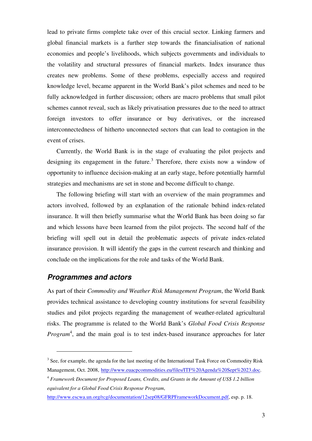lead to private firms complete take over of this crucial sector. Linking farmers and global financial markets is a further step towards the financialisation of national economies and people's livelihoods, which subjects governments and individuals to the volatility and structural pressures of financial markets. Index insurance thus creates new problems. Some of these problems, especially access and required knowledge level, became apparent in the World Bank's pilot schemes and need to be fully acknowledged in further discussion; others are macro problems that small pilot schemes cannot reveal, such as likely privatisation pressures due to the need to attract foreign investors to offer insurance or buy derivatives, or the increased interconnectedness of hitherto unconnected sectors that can lead to contagion in the event of crises.

Currently, the World Bank is in the stage of evaluating the pilot projects and designing its engagement in the future.<sup>3</sup> Therefore, there exists now a window of opportunity to influence decision-making at an early stage, before potentially harmful strategies and mechanisms are set in stone and become difficult to change.

The following briefing will start with an overview of the main programmes and actors involved, followed by an explanation of the rationale behind index-related insurance. It will then briefly summarise what the World Bank has been doing so far and which lessons have been learned from the pilot projects. The second half of the briefing will spell out in detail the problematic aspects of private index-related insurance provision. It will identify the gaps in the current research and thinking and conclude on the implications for the role and tasks of the World Bank.

### **Programmes and actors**

 $\overline{a}$ 

As part of their *Commodity and Weather Risk Management Program*, the World Bank provides technical assistance to developing country institutions for several feasibility studies and pilot projects regarding the management of weather-related agricultural risks. The programme is related to the World Bank's *Global Food Crisis Response*  Program<sup>4</sup>, and the main goal is to test index-based insurance approaches for later

 $3$  See, for example, the agenda for the last meeting of the International Task Force on Commodity Risk Management, Oct. 2008, http://www.euacpcommodities.eu/files/ITF%20Agenda%20Sept%2023.doc.

<sup>4</sup> *Framework Document for Proposed Loans, Credits, and Grants in the Amount of US\$ 1.2 billion equivalent for a Global Food Crisis Response Program*,

http://www.escwa.un.org/rcg/documentation/12sep08/GFRPFrameworkDocument.pdf, esp. p. 18.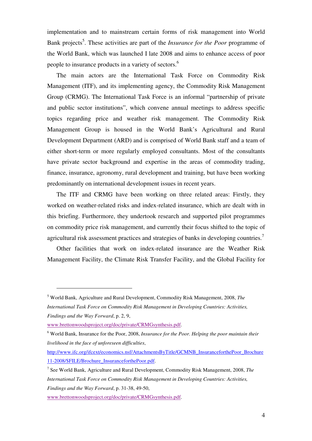implementation and to mainstream certain forms of risk management into World Bank projects<sup>5</sup>. These activities are part of the *Insurance for the Poor* programme of the World Bank, which was launched I late 2008 and aims to enhance access of poor people to insurance products in a variety of sectors.<sup>6</sup>

The main actors are the International Task Force on Commodity Risk Management (ITF), and its implementing agency, the Commodity Risk Management Group (CRMG). The International Task Force is an informal "partnership of private and public sector institutions", which convene annual meetings to address specific topics regarding price and weather risk management. The Commodity Risk Management Group is housed in the World Bank's Agricultural and Rural Development Department (ARD) and is comprised of World Bank staff and a team of either short-term or more regularly employed consultants. Most of the consultants have private sector background and expertise in the areas of commodity trading, finance, insurance, agronomy, rural development and training, but have been working predominantly on international development issues in recent years.

The ITF and CRMG have been working on three related areas: Firstly, they worked on weather-related risks and index-related insurance, which are dealt with in this briefing. Furthermore, they undertook research and supported pilot programmes on commodity price risk management, and currently their focus shifted to the topic of agricultural risk assessment practices and strategies of banks in developing countries.<sup>7</sup>

Other facilities that work on index-related insurance are the Weather Risk Management Facility, the Climate Risk Transfer Facility, and the Global Facility for

<sup>5</sup> World Bank, Agriculture and Rural Development, Commodity Risk Management, 2008, *The International Task Force on Commodity Risk Management in Developing Countries: Activities, Findings and the Way Forward*, p. 2, 9,

www.brettonwoodsproject.org/doc/private/CRMGsynthesis.pdf.

<sup>&</sup>lt;sup>6</sup> World Bank, Insurance for the Poor, 2008, Insurance for the Poor. Helping the poor maintain their *livelihood in the face of unforeseen difficulties*,

http://www.ifc.org/ifcext/economics.nsf/AttachmentsByTitle/GCMNB\_InsuranceforthePoor\_Brochure 11-2008/\$FILE/Brochure\_InsuranceforthePoor.pdf.

<sup>7</sup> See World Bank, Agriculture and Rural Development, Commodity Risk Management, 2008, *The International Task Force on Commodity Risk Management in Developing Countries: Activities, Findings and the Way Forward*, p. 31-38, 49-50,

www.brettonwoodsproject.org/doc/private/CRMGsynthesis.pdf.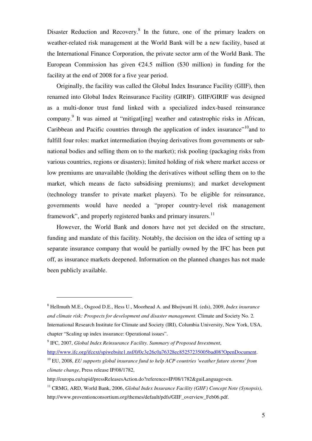Disaster Reduction and Recovery.<sup>8</sup> In the future, one of the primary leaders on weather-related risk management at the World Bank will be a new facility, based at the International Finance Corporation, the private sector arm of the World Bank. The European Commission has given  $\epsilon$ 24.5 million (\$30 million) in funding for the facility at the end of 2008 for a five year period.

Originally, the facility was called the Global Index Insurance Facility (GIIF), then renamed into Global Index Reinsurance Facility (GIRIF). GIIF/GIRIF was designed as a multi-donor trust fund linked with a specialized index-based reinsurance company.<sup>9</sup> It was aimed at "mitigat[ing] weather and catastrophic risks in African, Caribbean and Pacific countries through the application of index insurance $10$ <sup>10</sup>and to fulfill four roles: market intermediation (buying derivatives from governments or subnational bodies and selling them on to the market); risk pooling (packaging risks from various countries, regions or disasters); limited holding of risk where market access or low premiums are unavailable (holding the derivatives without selling them on to the market, which means de facto subsidising premiums); and market development (technology transfer to private market players). To be eligible for reinsurance, governments would have needed a "proper country-level risk management framework", and properly registered banks and primary insurers.<sup>11</sup>

However, the World Bank and donors have not yet decided on the structure, funding and mandate of this facility. Notably, the decision on the idea of setting up a separate insurance company that would be partially owned by the IFC has been put off, as insurance markets deepened. Information on the planned changes has not made been publicly available.

<sup>8</sup> Hellmuth M.E., Osgood D.E., Hess U., Moorhead A. and Bhojwani H. (eds), 2009, *Index insurance and climate risk: Prospects for development and disaster management.* Climate and Society No. 2*.*  International Research Institute for Climate and Society (IRI), Columbia University, New York, USA, chapter "Scaling up index insurance: Operational issues".

<sup>9</sup> IFC, 2007, *Global Index Reinsurance Facility. Summary of Proposed Investment*, http://www.ifc.org/ifcext/spiwebsite1.nsf/0/0c3e26c0a76328ec85257235005bad08?OpenDocument.

<sup>10</sup> EU, 2008, *EU supports global insurance fund to help ACP countries 'weather future storms' from climate change*, Press release IP/08/1782,

http://europa.eu/rapid/pressReleasesAction.do?reference=IP/08/1782&guiLanguage=en.

<sup>11</sup> CRMG, ARD, World Bank, 2006, *Global Index Insurance Facility (GIIF) Concept Note (Synopsis)*, http://www.proventionconsortium.org/themes/default/pdfs/GIIF\_overview\_Feb06.pdf.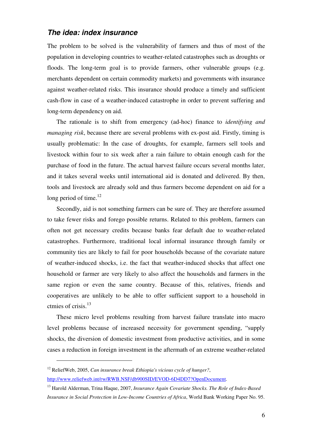### **The idea: index insurance**

The problem to be solved is the vulnerability of farmers and thus of most of the population in developing countries to weather-related catastrophes such as droughts or floods. The long-term goal is to provide farmers, other vulnerable groups (e.g. merchants dependent on certain commodity markets) and governments with insurance against weather-related risks. This insurance should produce a timely and sufficient cash-flow in case of a weather-induced catastrophe in order to prevent suffering and long-term dependency on aid.

The rationale is to shift from emergency (ad-hoc) finance to *identifying and managing risk*, because there are several problems with ex-post aid. Firstly, timing is usually problematic: In the case of droughts, for example, farmers sell tools and livestock within four to six week after a rain failure to obtain enough cash for the purchase of food in the future. The actual harvest failure occurs several months later, and it takes several weeks until international aid is donated and delivered. By then, tools and livestock are already sold and thus farmers become dependent on aid for a long period of time. $^{12}$ 

Secondly, aid is not something farmers can be sure of. They are therefore assumed to take fewer risks and forego possible returns. Related to this problem, farmers can often not get necessary credits because banks fear default due to weather-related catastrophes. Furthermore, traditional local informal insurance through family or community ties are likely to fail for poor households because of the covariate nature of weather-induced shocks, i.e. the fact that weather-induced shocks that affect one household or farmer are very likely to also affect the households and farmers in the same region or even the same country. Because of this, relatives, friends and cooperatives are unlikely to be able to offer sufficient support to a household in ctmies of crisis.<sup>13</sup>

These micro level problems resulting from harvest failure translate into macro level problems because of increased necessity for government spending, "supply shocks, the diversion of domestic investment from productive activities, and in some cases a reduction in foreign investment in the aftermath of an extreme weather-related

<sup>12</sup> ReliefWeb, 2005, *Can insurance break Ethiopia's vicious cycle of hunger?*, http://www.reliefweb.int/rw/RWB.NSF/db900SID/EVOD-6D4DD7?OpenDocument.

<sup>13</sup> Harold Alderman, Trina Haque, 2007, *Insurance Again Covariate Shocks. The Role of Index-Based Insurance in Social Protection in Low-Income Countries of Africa*, World Bank Working Paper No. 95.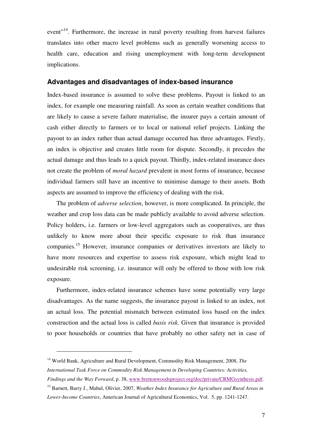event<sup>"14</sup>. Furthermore, the increase in rural poverty resulting from harvest failures translates into other macro level problems such as generally worsening access to health care, education and rising unemployment with long-term development implications.

### **Advantages and disadvantages of index-based insurance**

Index-based insurance is assumed to solve these problems. Payout is linked to an index, for example one measuring rainfall. As soon as certain weather conditions that are likely to cause a severe failure materialise, the insurer pays a certain amount of cash either directly to farmers or to local or national relief projects. Linking the payout to an index rather than actual damage occurred has three advantages. Firstly, an index is objective and creates little room for dispute. Secondly, it precedes the actual damage and thus leads to a quick payout. Thirdly, index-related insurance does not create the problem of *moral hazard* prevalent in most forms of insurance, because individual farmers still have an incentive to minimise damage to their assets. Both aspects are assumed to improve the efficiency of dealing with the risk.

The problem of *adverse selection*, however, is more complicated. In principle, the weather and crop loss data can be made publicly available to avoid adverse selection. Policy holders, i.e. farmers or low-level aggregators such as cooperatives, are thus unlikely to know more about their specific exposure to risk than insurance companies.<sup>15</sup> However, insurance companies or derivatives investors are likely to have more resources and expertise to assess risk exposure, which might lead to undesirable risk screening, i.e. insurance will only be offered to those with low risk exposure.

Furthermore, index-related insurance schemes have some potentially very large disadvantages. As the name suggests, the insurance payout is linked to an index, not an actual loss. The potential mismatch between estimated loss based on the index construction and the actual loss is called *basis risk*. Given that insurance is provided to poor households or countries that have probably no other safety net in case of

<sup>14</sup> World Bank, Agriculture and Rural Development, Commodity Risk Management, 2008, *The International Task Force on Commodity Risk Management in Developing Countries: Activities, Findings and the Way Forward*, p. 38, www.brettonwoodsproject.org/doc/private/CRMGsynthesis.pdf.

<sup>15</sup> Barnett, Barry J., Mahul, Olivier, 2007, *Weather Index Insurance for Agriculture and Rural Areas in Lower-Income Countries*, American Journal of Agricultural Economics, Vol. 5, pp. 1241-1247.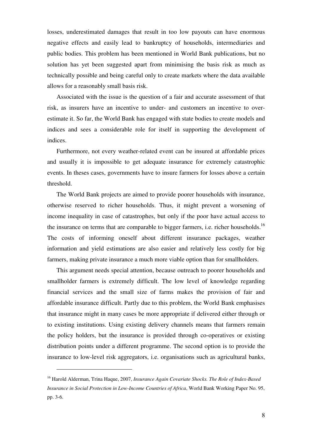losses, underestimated damages that result in too low payouts can have enormous negative effects and easily lead to bankruptcy of households, intermediaries and public bodies. This problem has been mentioned in World Bank publications, but no solution has yet been suggested apart from minimising the basis risk as much as technically possible and being careful only to create markets where the data available allows for a reasonably small basis risk.

Associated with the issue is the question of a fair and accurate assessment of that risk, as insurers have an incentive to under- and customers an incentive to overestimate it. So far, the World Bank has engaged with state bodies to create models and indices and sees a considerable role for itself in supporting the development of indices.

Furthermore, not every weather-related event can be insured at affordable prices and usually it is impossible to get adequate insurance for extremely catastrophic events. In theses cases, governments have to insure farmers for losses above a certain threshold.

The World Bank projects are aimed to provide poorer households with insurance, otherwise reserved to richer households. Thus, it might prevent a worsening of income inequality in case of catastrophes, but only if the poor have actual access to the insurance on terms that are comparable to bigger farmers, i.e. richer households.<sup>16</sup> The costs of informing oneself about different insurance packages, weather information and yield estimations are also easier and relatively less costly for big farmers, making private insurance a much more viable option than for smallholders.

This argument needs special attention, because outreach to poorer households and smallholder farmers is extremely difficult. The low level of knowledge regarding financial services and the small size of farms makes the provision of fair and affordable insurance difficult. Partly due to this problem, the World Bank emphasises that insurance might in many cases be more appropriate if delivered either through or to existing institutions. Using existing delivery channels means that farmers remain the policy holders, but the insurance is provided through co-operatives or existing distribution points under a different programme. The second option is to provide the insurance to low-level risk aggregators, i.e. organisations such as agricultural banks,

<sup>16</sup> Harold Alderman, Trina Haque, 2007, *Insurance Again Covariate Shocks. The Role of Index-Based Insurance in Social Protection in Low-Income Countries of Africa*, World Bank Working Paper No. 95, pp. 3-6.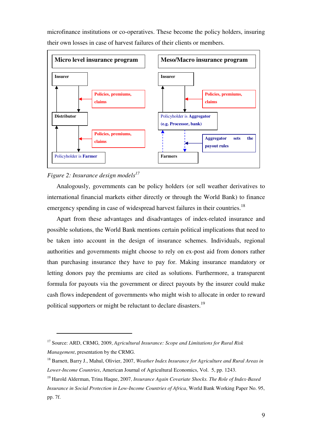

microfinance institutions or co-operatives. These become the policy holders, insuring their own losses in case of harvest failures of their clients or members.

### *Figure 2: Insurance design models<sup>17</sup>*

 $\overline{a}$ 

Analogously, governments can be policy holders (or sell weather derivatives to international financial markets either directly or through the World Bank) to finance emergency spending in case of widespread harvest failures in their countries.<sup>18</sup>

Apart from these advantages and disadvantages of index-related insurance and possible solutions, the World Bank mentions certain political implications that need to be taken into account in the design of insurance schemes. Individuals, regional authorities and governments might choose to rely on ex-post aid from donors rather than purchasing insurance they have to pay for. Making insurance mandatory or letting donors pay the premiums are cited as solutions. Furthermore, a transparent formula for payouts via the government or direct payouts by the insurer could make cash flows independent of governments who might wish to allocate in order to reward political supporters or might be reluctant to declare disasters.<sup>19</sup>

<sup>17</sup> Source: ARD, CRMG, 2009, *Agricultural Insurance: Scope and Limitations for Rural Risk Management*, presentation by the CRMG.

<sup>18</sup> Barnett, Barry J., Mahul, Olivier, 2007, *Weather Index Insurance for Agriculture and Rural Areas in Lower-Income Countries*, American Journal of Agricultural Economics, Vol. 5, pp. 1243.

<sup>19</sup> Harold Alderman, Trina Haque, 2007, *Insurance Again Covariate Shocks. The Role of Index-Based Insurance in Social Protection in Low-Income Countries of Africa*, World Bank Working Paper No. 95, pp. 7f.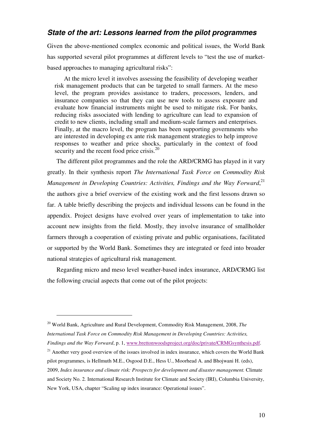### **State of the art: Lessons learned from the pilot programmes**

Given the above-mentioned complex economic and political issues, the World Bank has supported several pilot programmes at different levels to "test the use of marketbased approaches to managing agricultural risks":

At the micro level it involves assessing the feasibility of developing weather risk management products that can be targeted to small farmers. At the meso level, the program provides assistance to traders, processors, lenders, and insurance companies so that they can use new tools to assess exposure and evaluate how financial instruments might be used to mitigate risk. For banks, reducing risks associated with lending to agriculture can lead to expansion of credit to new clients, including small and medium-scale farmers and enterprises. Finally, at the macro level, the program has been supporting governments who are interested in developing ex ante risk management strategies to help improve responses to weather and price shocks, particularly in the context of food security and the recent food price crisis.<sup>20</sup>

The different pilot programmes and the role the ARD/CRMG has played in it vary greatly. In their synthesis report *The International Task Force on Commodity Risk*  Management in Developing Countries: Activities, Findings and the Way Forward,<sup>21</sup> the authors give a brief overview of the existing work and the first lessons drawn so far. A table briefly describing the projects and individual lessons can be found in the appendix. Project designs have evolved over years of implementation to take into account new insights from the field. Mostly, they involve insurance of smallholder farmers through a cooperation of existing private and public organisations, facilitated or supported by the World Bank. Sometimes they are integrated or feed into broader national strategies of agricultural risk management.

Regarding micro and meso level weather-based index insurance, ARD/CRMG list the following crucial aspects that come out of the pilot projects:

<sup>20</sup> World Bank, Agriculture and Rural Development, Commodity Risk Management, 2008, *The International Task Force on Commodity Risk Management in Developing Countries: Activities, Findings and the Way Forward*, p. 1, www.brettonwoodsproject.org/doc/private/CRMGsynthesis.pdf.

 $21$  Another very good overview of the issues involved in index insurance, which covers the World Bank pilot programmes, is Hellmuth M.E., Osgood D.E., Hess U., Moorhead A. and Bhojwani H. (eds), 2009, *Index insurance and climate risk: Prospects for development and disaster management.* Climate and Society No. 2*.* International Research Institute for Climate and Society (IRI), Columbia University, New York, USA, chapter "Scaling up index insurance: Operational issues".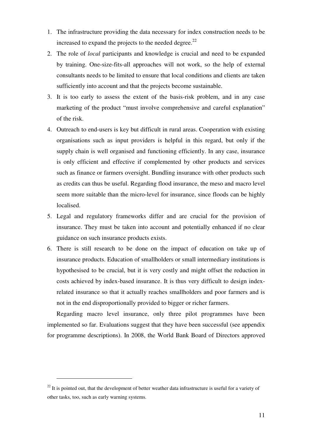- 1. The infrastructure providing the data necessary for index construction needs to be increased to expand the projects to the needed degree. $^{22}$
- 2. The role of *local* participants and knowledge is crucial and need to be expanded by training. One-size-fits-all approaches will not work, so the help of external consultants needs to be limited to ensure that local conditions and clients are taken sufficiently into account and that the projects become sustainable.
- 3. It is too early to assess the extent of the basis-risk problem, and in any case marketing of the product "must involve comprehensive and careful explanation" of the risk.
- 4. Outreach to end-users is key but difficult in rural areas. Cooperation with existing organisations such as input providers is helpful in this regard, but only if the supply chain is well organised and functioning efficiently. In any case, insurance is only efficient and effective if complemented by other products and services such as finance or farmers oversight. Bundling insurance with other products such as credits can thus be useful. Regarding flood insurance, the meso and macro level seem more suitable than the micro-level for insurance, since floods can be highly localised.
- 5. Legal and regulatory frameworks differ and are crucial for the provision of insurance. They must be taken into account and potentially enhanced if no clear guidance on such insurance products exists.
- 6. There is still research to be done on the impact of education on take up of insurance products. Education of smallholders or small intermediary institutions is hypothesised to be crucial, but it is very costly and might offset the reduction in costs achieved by index-based insurance. It is thus very difficult to design indexrelated insurance so that it actually reaches smallholders and poor farmers and is not in the end disproportionally provided to bigger or richer farmers.

Regarding macro level insurance, only three pilot programmes have been implemented so far. Evaluations suggest that they have been successful (see appendix for programme descriptions). In 2008, the World Bank Board of Directors approved

 $^{22}$  It is pointed out, that the development of better weather data infrastructure is useful for a variety of other tasks, too, such as early warning systems.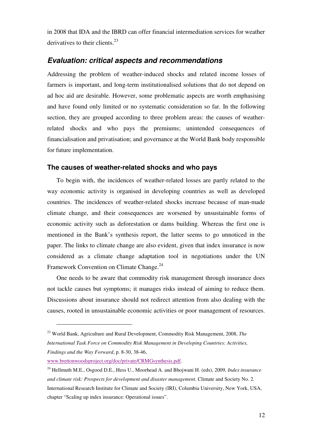in 2008 that IDA and the IBRD can offer financial intermediation services for weather derivatives to their clients. $^{23}$ 

### **Evaluation: critical aspects and recommendations**

Addressing the problem of weather-induced shocks and related income losses of farmers is important, and long-term institutionalised solutions that do not depend on ad hoc aid are desirable. However, some problematic aspects are worth emphasising and have found only limited or no systematic consideration so far. In the following section, they are grouped according to three problem areas: the causes of weatherrelated shocks and who pays the premiums; unintended consequences of financialisation and privatisation; and governance at the World Bank body responsible for future implementation.

### **The causes of weather-related shocks and who pays**

To begin with, the incidences of weather-related losses are partly related to the way economic activity is organised in developing countries as well as developed countries. The incidences of weather-related shocks increase because of man-made climate change, and their consequences are worsened by unsustainable forms of economic activity such as deforestation or dams building. Whereas the first one is mentioned in the Bank's synthesis report, the latter seems to go unnoticed in the paper. The links to climate change are also evident, given that index insurance is now considered as a climate change adaptation tool in negotiations under the UN Framework Convention on Climate Change.<sup>24</sup>

One needs to be aware that commodity risk management through insurance does not tackle causes but symptoms; it manages risks instead of aiming to reduce them. Discussions about insurance should not redirect attention from also dealing with the causes, rooted in unsustainable economic activities or poor management of resources.

www.brettonwoodsproject.org/doc/private/CRMGsynthesis.pdf.

<sup>23</sup> World Bank, Agriculture and Rural Development, Commodity Risk Management, 2008, *The International Task Force on Commodity Risk Management in Developing Countries: Activities, Findings and the Way Forward*, p. 8-30, 38-46,

<sup>24</sup> Hellmuth M.E., Osgood D.E., Hess U., Moorhead A. and Bhojwani H. (eds), 2009, *Index insurance and climate risk: Prospects for development and disaster management.* Climate and Society No. 2*.*  International Research Institute for Climate and Society (IRI), Columbia University, New York, USA, chapter "Scaling up index insurance: Operational issues".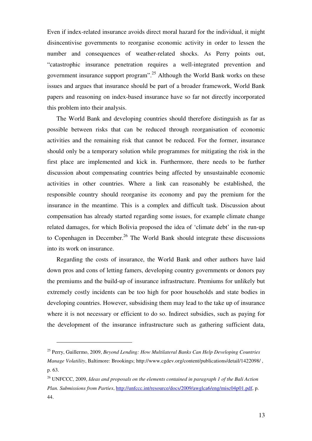Even if index-related insurance avoids direct moral hazard for the individual, it might disincentivise governments to reorganise economic activity in order to lessen the number and consequences of weather-related shocks. As Perry points out, "catastrophic insurance penetration requires a well-integrated prevention and government insurance support program".<sup>25</sup> Although the World Bank works on these issues and argues that insurance should be part of a broader framework, World Bank papers and reasoning on index-based insurance have so far not directly incorporated this problem into their analysis.

The World Bank and developing countries should therefore distinguish as far as possible between risks that can be reduced through reorganisation of economic activities and the remaining risk that cannot be reduced. For the former, insurance should only be a temporary solution while programmes for mitigating the risk in the first place are implemented and kick in. Furthermore, there needs to be further discussion about compensating countries being affected by unsustainable economic activities in other countries. Where a link can reasonably be established, the responsible country should reorganise its economy and pay the premium for the insurance in the meantime. This is a complex and difficult task. Discussion about compensation has already started regarding some issues, for example climate change related damages, for which Bolivia proposed the idea of 'climate debt' in the run-up to Copenhagen in December.<sup>26</sup> The World Bank should integrate these discussions into its work on insurance.

Regarding the costs of insurance, the World Bank and other authors have laid down pros and cons of letting famers, developing country governments or donors pay the premiums and the build-up of insurance infrastructure. Premiums for unlikely but extremely costly incidents can be too high for poor households and state bodies in developing countries. However, subsidising them may lead to the take up of insurance where it is not necessary or efficient to do so. Indirect subsidies, such as paying for the development of the insurance infrastructure such as gathering sufficient data,

<sup>25</sup> Perry, Guillermo, 2009, *Beyond Lending: How Multilateral Banks Can Help Developing Countries Manage Volatility*, Baltimore: Brookings; http://www.cgdev.org/content/publications/detail/1422098/ , p. 63.

<sup>26</sup> UNFCCC, 2009, *Ideas and proposals on the elements contained in paragraph 1 of the Bali Action Plan. Submissions from Parties*, http://unfccc.int/resource/docs/2009/awglca6/eng/misc04p01.pdf, p. 44.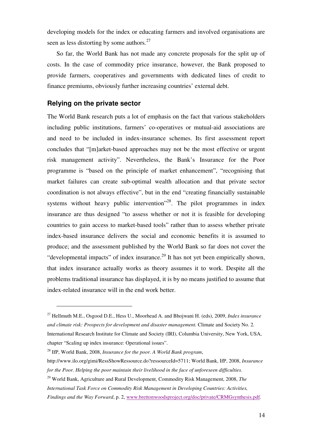developing models for the index or educating farmers and involved organisations are seen as less distorting by some authors. $27$ 

So far, the World Bank has not made any concrete proposals for the split up of costs. In the case of commodity price insurance, however, the Bank proposed to provide farmers, cooperatives and governments with dedicated lines of credit to finance premiums, obviously further increasing countries' external debt.

### **Relying on the private sector**

 $\overline{a}$ 

The World Bank research puts a lot of emphasis on the fact that various stakeholders including public institutions, farmers' co-operatives or mutual-aid associations are and need to be included in index-insurance schemes. Its first assessment report concludes that "[m]arket-based approaches may not be the most effective or urgent risk management activity". Nevertheless, the Bank's Insurance for the Poor programme is "based on the principle of market enhancement", "recognising that market failures can create sub-optimal wealth allocation and that private sector coordination is not always effective", but in the end "creating financially sustainable systems without heavy public intervention<sup> $28$ </sup>. The pilot programmes in index insurance are thus designed "to assess whether or not it is feasible for developing countries to gain access to market-based tools" rather than to assess whether private index-based insurance delivers the social and economic benefits it is assumed to produce; and the assessment published by the World Bank so far does not cover the "developmental impacts" of index insurance.<sup>29</sup> It has not yet been empirically shown, that index insurance actually works as theory assumes it to work. Despite all the problems traditional insurance has displayed, it is by no means justified to assume that index-related insurance will in the end work better.

<sup>29</sup> World Bank, Agriculture and Rural Development, Commodity Risk Management, 2008, *The* 

<sup>27</sup> Hellmuth M.E., Osgood D.E., Hess U., Moorhead A. and Bhojwani H. (eds), 2009, *Index insurance and climate risk: Prospects for development and disaster management.* Climate and Society No. 2*.*  International Research Institute for Climate and Society (IRI), Columbia University, New York, USA, chapter "Scaling up index insurance: Operational issues".

<sup>28</sup> IfP, World Bank, 2008, *Insurance for the poor. A World Bank program*,

http://www.ilo.org/gimi/RessShowRessource.do?ressourceId=5711; World Bank, IfP, 2008, *Insurance for the Poor. Helping the poor maintain their livelihood in the face of unforeseen difficulties*.

*International Task Force on Commodity Risk Management in Developing Countries: Activities,* 

*Findings and the Way Forward*, p. 2, www.brettonwoodsproject.org/doc/private/CRMGsynthesis.pdf.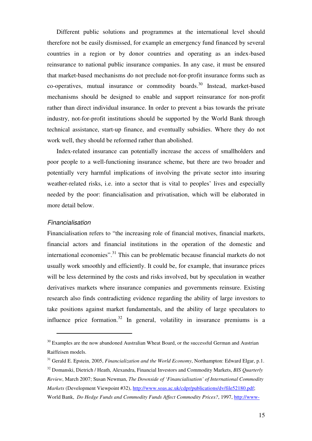Different public solutions and programmes at the international level should therefore not be easily dismissed, for example an emergency fund financed by several countries in a region or by donor countries and operating as an index-based reinsurance to national public insurance companies. In any case, it must be ensured that market-based mechanisms do not preclude not-for-profit insurance forms such as co-operatives, mutual insurance or commodity boards. <sup>30</sup> Instead, market-based mechanisms should be designed to enable and support reinsurance for non-profit rather than direct individual insurance. In order to prevent a bias towards the private industry, not-for-profit institutions should be supported by the World Bank through technical assistance, start-up finance, and eventually subsidies. Where they do not work well, they should be reformed rather than abolished.

Index-related insurance can potentially increase the access of smallholders and poor people to a well-functioning insurance scheme, but there are two broader and potentially very harmful implications of involving the private sector into insuring weather-related risks, i.e. into a sector that is vital to peoples' lives and especially needed by the poor: financialisation and privatisation, which will be elaborated in more detail below.

#### Financialisation

 $\overline{a}$ 

Financialisation refers to "the increasing role of financial motives, financial markets, financial actors and financial institutions in the operation of the domestic and international economies".<sup>31</sup> This can be problematic because financial markets do not usually work smoothly and efficiently. It could be, for example, that insurance prices will be less determined by the costs and risks involved, but by speculation in weather derivatives markets where insurance companies and governments reinsure. Existing research also finds contradicting evidence regarding the ability of large investors to take positions against market fundamentals, and the ability of large speculators to influence price formation.<sup>32</sup> In general, volatility in insurance premiums is a

 $30$  Examples are the now abandoned Australian Wheat Board, or the successful German and Austrian Raiffeisen models.

<sup>31</sup> Gerald E. Epstein, 2005, *Financialization and the World Economy*, Northampton: Edward Elgar, p.1. <sup>32</sup> Domanski, Dietrich / Heath, Alexandra, Financial Investors and Commodity Markets, *BIS Quarterly Review*, March 2007; Susan Newman, *The Downside of 'Financialisation' of International Commodity Markets* (Development Viewpoint #32), http://www.soas.ac.uk/cdpr/publications/dv/file52180.pdf; World Bank, *Do Hedge Funds and Commodity Funds Affect Commodity Prices?*, 1997, http://www-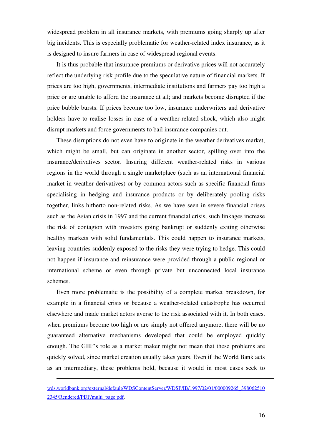widespread problem in all insurance markets, with premiums going sharply up after big incidents. This is especially problematic for weather-related index insurance, as it is designed to insure farmers in case of widespread regional events.

It is thus probable that insurance premiums or derivative prices will not accurately reflect the underlying risk profile due to the speculative nature of financial markets. If prices are too high, governments, intermediate institutions and farmers pay too high a price or are unable to afford the insurance at all; and markets become disrupted if the price bubble bursts. If prices become too low, insurance underwriters and derivative holders have to realise losses in case of a weather-related shock, which also might disrupt markets and force governments to bail insurance companies out.

These disruptions do not even have to originate in the weather derivatives market, which might be small, but can originate in another sector, spilling over into the insurance/derivatives sector. Insuring different weather-related risks in various regions in the world through a single marketplace (such as an international financial market in weather derivatives) or by common actors such as specific financial firms specialising in hedging and insurance products or by deliberately pooling risks together, links hitherto non-related risks. As we have seen in severe financial crises such as the Asian crisis in 1997 and the current financial crisis, such linkages increase the risk of contagion with investors going bankrupt or suddenly exiting otherwise healthy markets with solid fundamentals. This could happen to insurance markets, leaving countries suddenly exposed to the risks they were trying to hedge. This could not happen if insurance and reinsurance were provided through a public regional or international scheme or even through private but unconnected local insurance schemes.

Even more problematic is the possibility of a complete market breakdown, for example in a financial crisis or because a weather-related catastrophe has occurred elsewhere and made market actors averse to the risk associated with it. In both cases, when premiums become too high or are simply not offered anymore, there will be no guaranteed alternative mechanisms developed that could be employed quickly enough. The GIIF's role as a market maker might not mean that these problems are quickly solved, since market creation usually takes years. Even if the World Bank acts as an intermediary, these problems hold, because it would in most cases seek to

-

wds.worldbank.org/external/default/WDSContentServer/WDSP/IB/1997/02/01/000009265\_398062510 2345/Rendered/PDF/multi\_page.pdf.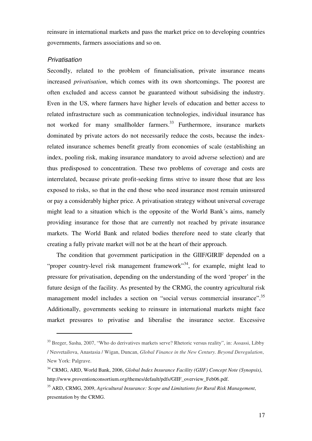reinsure in international markets and pass the market price on to developing countries governments, farmers associations and so on.

#### **Privatisation**

 $\overline{a}$ 

Secondly, related to the problem of financialisation, private insurance means increased *privatisation*, which comes with its own shortcomings. The poorest are often excluded and access cannot be guaranteed without subsidising the industry. Even in the US, where farmers have higher levels of education and better access to related infrastructure such as communication technologies, individual insurance has not worked for many smallholder farmers.<sup>33</sup> Furthermore, insurance markets dominated by private actors do not necessarily reduce the costs, because the indexrelated insurance schemes benefit greatly from economies of scale (establishing an index, pooling risk, making insurance mandatory to avoid adverse selection) and are thus predisposed to concentration. These two problems of coverage and costs are interrelated, because private profit-seeking firms strive to insure those that are less exposed to risks, so that in the end those who need insurance most remain uninsured or pay a considerably higher price. A privatisation strategy without universal coverage might lead to a situation which is the opposite of the World Bank's aims, namely providing insurance for those that are currently not reached by private insurance markets. The World Bank and related bodies therefore need to state clearly that creating a fully private market will not be at the heart of their approach.

The condition that government participation in the GIIF/GIRIF depended on a "proper country-level risk management framework"<sup>34</sup>, for example, might lead to pressure for privatisation, depending on the understanding of the word 'proper' in the future design of the facility. As presented by the CRMG, the country agricultural risk management model includes a section on "social versus commercial insurance".<sup>35</sup> Additionally, governments seeking to reinsure in international markets might face market pressures to privatise and liberalise the insurance sector. Excessive

<sup>33</sup> Breger, Sasha, 2007, "Who do derivatives markets serve? Rhetoric versus reality", in: Assassi, Libby / Nesvetailova, Anastasia / Wigan, Duncan, *Global Finance in the New Century. Beyond Deregulation*, New York: Palgrave.

<sup>34</sup> CRMG, ARD, World Bank, 2006, *Global Index Insurance Facility (GIIF) Concept Note (Synopsis)*, http://www.proventionconsortium.org/themes/default/pdfs/GIIF\_overview\_Feb06.pdf.

<sup>35</sup> ARD, CRMG, 2009, *Agricultural Insurance: Scope and Limitations for Rural Risk Management*, presentation by the CRMG.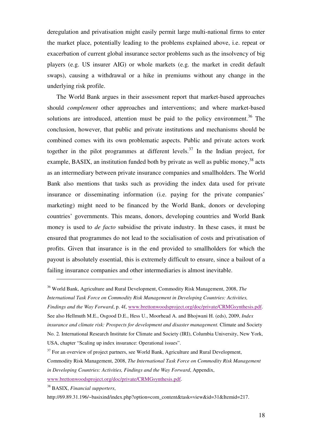deregulation and privatisation might easily permit large multi-national firms to enter the market place, potentially leading to the problems explained above, i.e. repeat or exacerbation of current global insurance sector problems such as the insolvency of big players (e.g. US insurer AIG) or whole markets (e.g. the market in credit default swaps), causing a withdrawal or a hike in premiums without any change in the underlying risk profile.

The World Bank argues in their assessment report that market-based approaches should *complement* other approaches and interventions; and where market-based solutions are introduced, attention must be paid to the policy environment.<sup>36</sup> The conclusion, however, that public and private institutions and mechanisms should be combined comes with its own problematic aspects. Public and private actors work together in the pilot programmes at different levels. <sup>37</sup> In the Indian project, for example, BASIX, an institution funded both by private as well as public money,  $38$  acts as an intermediary between private insurance companies and smallholders. The World Bank also mentions that tasks such as providing the index data used for private insurance or disseminating information (i.e. paying for the private companies' marketing) might need to be financed by the World Bank, donors or developing countries' governments. This means, donors, developing countries and World Bank money is used to *de facto* subsidise the private industry. In these cases, it must be ensured that programmes do not lead to the socialisation of costs and privatisation of profits. Given that insurance is in the end provided to smallholders for which the payout is absolutely essential, this is extremely difficult to ensure, since a bailout of a failing insurance companies and other intermediaries is almost inevitable.

<sup>38</sup> BASIX, *Financial supporters*,

<sup>36</sup> World Bank, Agriculture and Rural Development, Commodity Risk Management, 2008, *The International Task Force on Commodity Risk Management in Developing Countries: Activities, Findings and the Way Forward*, p. 4f, www.brettonwoodsproject.org/doc/private/CRMGsynthesis.pdf. See also Hellmuth M.E., Osgood D.E., Hess U., Moorhead A. and Bhojwani H. (eds), 2009, *Index insurance and climate risk: Prospects for development and disaster management.* Climate and Society

No. 2*.* International Research Institute for Climate and Society (IRI), Columbia University, New York, USA, chapter "Scaling up index insurance: Operational issues".

 $37$  For an overview of project partners, see World Bank, Agriculture and Rural Development,

Commodity Risk Management, 2008, *The International Task Force on Commodity Risk Management in Developing Countries: Activities, Findings and the Way Forward*, Appendix, www.brettonwoodsproject.org/doc/private/CRMGsynthesis.pdf.

http://69.89.31.196/~basixind/index.php?option=com\_content&task=view&id=31&Itemid=217.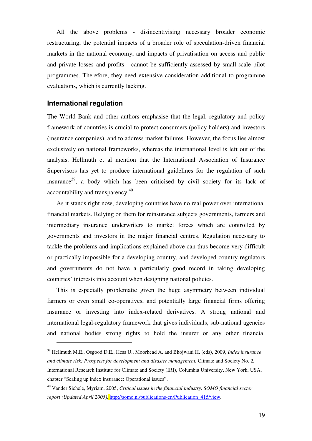All the above problems - disincentivising necessary broader economic restructuring, the potential impacts of a broader role of speculation-driven financial markets in the national economy, and impacts of privatisation on access and public and private losses and profits - cannot be sufficiently assessed by small-scale pilot programmes. Therefore, they need extensive consideration additional to programme evaluations, which is currently lacking.

### **International regulation**

The World Bank and other authors emphasise that the legal, regulatory and policy framework of countries is crucial to protect consumers (policy holders) and investors (insurance companies), and to address market failures. However, the focus lies almost exclusively on national frameworks, whereas the international level is left out of the analysis. Hellmuth et al mention that the International Association of Insurance Supervisors has yet to produce international guidelines for the regulation of such insurance<sup>39</sup>, a body which has been criticised by civil society for its lack of accountability and transparency.<sup>40</sup>

As it stands right now, developing countries have no real power over international financial markets. Relying on them for reinsurance subjects governments, farmers and intermediary insurance underwriters to market forces which are controlled by governments and investors in the major financial centres. Regulation necessary to tackle the problems and implications explained above can thus become very difficult or practically impossible for a developing country, and developed country regulators and governments do not have a particularly good record in taking developing countries' interests into account when designing national policies.

This is especially problematic given the huge asymmetry between individual farmers or even small co-operatives, and potentially large financial firms offering insurance or investing into index-related derivatives. A strong national and international legal-regulatory framework that gives individuals, sub-national agencies and national bodies strong rights to hold the insurer or any other financial

<sup>39</sup> Hellmuth M.E., Osgood D.E., Hess U., Moorhead A. and Bhojwani H. (eds), 2009, *Index insurance and climate risk: Prospects for development and disaster management.* Climate and Society No. 2*.*  International Research Institute for Climate and Society (IRI), Columbia University, New York, USA,

chapter "Scaling up index insurance: Operational issues".

<sup>40</sup> Vander Sichele, Myriam, 2005, *Critical issues in the financial industry. SOMO financial sector report (Updated April 2005)*, http://somo.nl/publications-en/Publication\_415/view.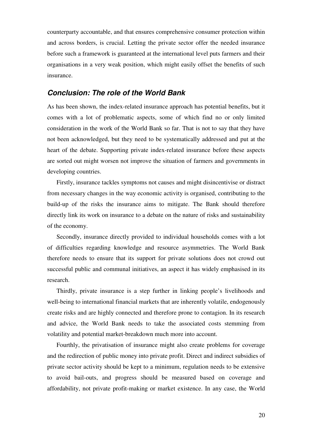counterparty accountable, and that ensures comprehensive consumer protection within and across borders, is crucial. Letting the private sector offer the needed insurance before such a framework is guaranteed at the international level puts farmers and their organisations in a very weak position, which might easily offset the benefits of such insurance.

### **Conclusion: The role of the World Bank**

As has been shown, the index-related insurance approach has potential benefits, but it comes with a lot of problematic aspects, some of which find no or only limited consideration in the work of the World Bank so far. That is not to say that they have not been acknowledged, but they need to be systematically addressed and put at the heart of the debate. Supporting private index-related insurance before these aspects are sorted out might worsen not improve the situation of farmers and governments in developing countries.

Firstly, insurance tackles symptoms not causes and might disincentivise or distract from necessary changes in the way economic activity is organised, contributing to the build-up of the risks the insurance aims to mitigate. The Bank should therefore directly link its work on insurance to a debate on the nature of risks and sustainability of the economy.

Secondly, insurance directly provided to individual households comes with a lot of difficulties regarding knowledge and resource asymmetries. The World Bank therefore needs to ensure that its support for private solutions does not crowd out successful public and communal initiatives, an aspect it has widely emphasised in its research.

Thirdly, private insurance is a step further in linking people's livelihoods and well-being to international financial markets that are inherently volatile, endogenously create risks and are highly connected and therefore prone to contagion. In its research and advice, the World Bank needs to take the associated costs stemming from volatility and potential market-breakdown much more into account.

Fourthly, the privatisation of insurance might also create problems for coverage and the redirection of public money into private profit. Direct and indirect subsidies of private sector activity should be kept to a minimum, regulation needs to be extensive to avoid bail-outs, and progress should be measured based on coverage and affordability, not private profit-making or market existence. In any case, the World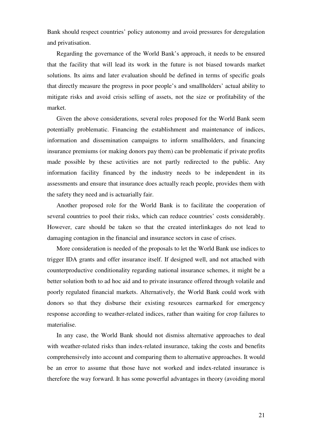Bank should respect countries' policy autonomy and avoid pressures for deregulation and privatisation.

Regarding the governance of the World Bank's approach, it needs to be ensured that the facility that will lead its work in the future is not biased towards market solutions. Its aims and later evaluation should be defined in terms of specific goals that directly measure the progress in poor people's and smallholders' actual ability to mitigate risks and avoid crisis selling of assets, not the size or profitability of the market.

Given the above considerations, several roles proposed for the World Bank seem potentially problematic. Financing the establishment and maintenance of indices, information and dissemination campaigns to inform smallholders, and financing insurance premiums (or making donors pay them) can be problematic if private profits made possible by these activities are not partly redirected to the public. Any information facility financed by the industry needs to be independent in its assessments and ensure that insurance does actually reach people, provides them with the safety they need and is actuarially fair.

Another proposed role for the World Bank is to facilitate the cooperation of several countries to pool their risks, which can reduce countries' costs considerably. However, care should be taken so that the created interlinkages do not lead to damaging contagion in the financial and insurance sectors in case of crises.

More consideration is needed of the proposals to let the World Bank use indices to trigger IDA grants and offer insurance itself. If designed well, and not attached with counterproductive conditionality regarding national insurance schemes, it might be a better solution both to ad hoc aid and to private insurance offered through volatile and poorly regulated financial markets. Alternatively, the World Bank could work with donors so that they disburse their existing resources earmarked for emergency response according to weather-related indices, rather than waiting for crop failures to materialise.

In any case, the World Bank should not dismiss alternative approaches to deal with weather-related risks than index-related insurance, taking the costs and benefits comprehensively into account and comparing them to alternative approaches. It would be an error to assume that those have not worked and index-related insurance is therefore the way forward. It has some powerful advantages in theory (avoiding moral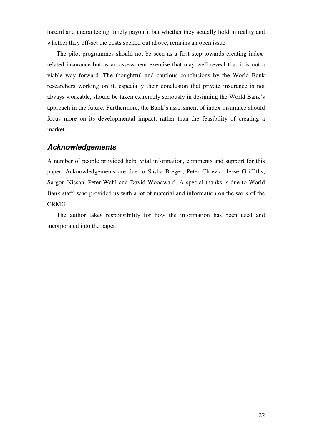hazard and guaranteeing timely payout), but whether they actually hold in reality and whether they off-set the costs spelled out above, remains an open issue.

The pilot programmes should not be seen as a first step towards creating indexrelated insurance but as an assessment exercise that may well reveal that it is not a viable way forward. The thoughtful and cautious conclusions by the World Bank researchers working on it, especially their conclusion that private insurance is not always workable, should be taken extremely seriously in designing the World Bank's approach in the future. Furthermore, the Bank's assessment of index insurance should focus more on its developmental impact, rather than the feasibility of creating a market.

### **Acknowledgements**

A number of people provided help, vital information, comments and support for this paper. Acknowledgements are due to Sasha Breger, Peter Chowla, Jesse Griffiths, Sargon Nissan, Peter Wahl and David Woodward. A special thanks is due to World Bank staff, who provided us with a lot of material and information on the work of the CRMG.

The author takes responsibility for how the information has been used and incorporated into the paper.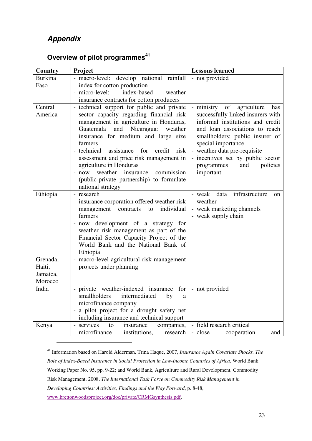## **Appendix**

 $\overline{a}$ 

| Country                                   | Project                                                                                                                                                                                                                                                                                                                                                                                                                                                                | <b>Lessons learned</b>                                                                                                                                                                                                                                                                                                   |
|-------------------------------------------|------------------------------------------------------------------------------------------------------------------------------------------------------------------------------------------------------------------------------------------------------------------------------------------------------------------------------------------------------------------------------------------------------------------------------------------------------------------------|--------------------------------------------------------------------------------------------------------------------------------------------------------------------------------------------------------------------------------------------------------------------------------------------------------------------------|
| <b>Burkina</b>                            | - macro-level: develop national rainfall                                                                                                                                                                                                                                                                                                                                                                                                                               | - not provided                                                                                                                                                                                                                                                                                                           |
| Faso                                      | index for cotton production                                                                                                                                                                                                                                                                                                                                                                                                                                            |                                                                                                                                                                                                                                                                                                                          |
|                                           | - micro-level:<br>index-based<br>weather                                                                                                                                                                                                                                                                                                                                                                                                                               |                                                                                                                                                                                                                                                                                                                          |
|                                           | insurance contracts for cotton producers                                                                                                                                                                                                                                                                                                                                                                                                                               |                                                                                                                                                                                                                                                                                                                          |
| Central<br>America                        | - technical support for public and private<br>sector capacity regarding financial risk<br>management in agriculture in Honduras,<br>Guatemala<br>and Nicaragua:<br>weather<br>insurance for medium and large size<br>farmers<br>- technical<br>assistance<br>for<br>credit<br>risk<br>assessment and price risk management in<br>agriculture in Honduras<br>- now weather<br>insurance<br>commission<br>(public-private partnership) to formulate<br>national strategy | ministry of<br>agriculture<br>has<br>successfully linked insurers with<br>informal institutions and credit<br>and loan associations to reach<br>smallholders; public insurer of<br>special importance<br>- weather data pre-requisite<br>- incentives set by public sector<br>policies<br>programmes<br>and<br>important |
| Ethiopia                                  | - research<br>- insurance corporation offered weather risk<br>management contracts to<br>individual<br>farmers<br>- now development of a strategy for<br>weather risk management as part of the<br>Financial Sector Capacity Project of the<br>World Bank and the National Bank of<br>Ethiopia                                                                                                                                                                         | - weak<br>data<br>infrastructure<br><sub>on</sub><br>weather<br>- weak marketing channels<br>- weak supply chain                                                                                                                                                                                                         |
| Grenada,<br>Haiti,<br>Jamaica,<br>Morocco | - macro-level agricultural risk management<br>projects under planning                                                                                                                                                                                                                                                                                                                                                                                                  |                                                                                                                                                                                                                                                                                                                          |
| India                                     | - private weather-indexed insurance for<br>smallholders<br>intermediated<br>by<br>a<br>microfinance company<br>- a pilot project for a drought safety net<br>including insurance and technical support                                                                                                                                                                                                                                                                 | - not provided                                                                                                                                                                                                                                                                                                           |
| Kenya                                     | - services<br>companies,<br>insurance<br>to<br>microfinance<br>institutions,<br>research                                                                                                                                                                                                                                                                                                                                                                               | - field research critical<br>- close<br>cooperation<br>and                                                                                                                                                                                                                                                               |

# **Overview of pilot programmes<sup>41</sup>**

<sup>41</sup> Information based on Harold Alderman, Trina Haque, 2007, *Insurance Again Covariate Shocks. The Role of Index-Based Insurance in Social Protection in Low-Income Countries of Africa*, World Bank Working Paper No. 95, pp. 9-22; and World Bank, Agriculture and Rural Development, Commodity Risk Management, 2008, *The International Task Force on Commodity Risk Management in Developing Countries: Activities, Findings and the Way Forward*, p. 8-48, www.brettonwoodsproject.org/doc/private/CRMGsynthesis.pdf.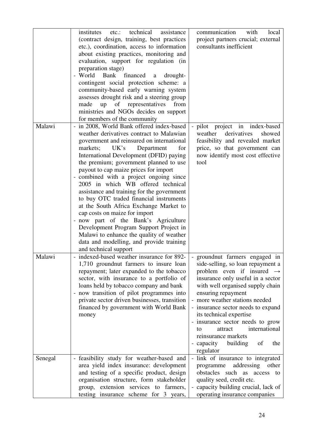| Malawi  | technical<br>institutes<br>assistance<br>etc.:<br>(contract design, training, best practices<br>etc.), coordination, access to information<br>about existing practices, monitoring and<br>evaluation, support for regulation (in<br>preparation stage)<br>- World<br>Bank financed<br>drought-<br>$\mathbf{a}$<br>contingent social protection scheme: a<br>community-based early warning system<br>assesses drought risk and a steering group<br>made<br>of representatives from<br>up<br>ministries and NGOs decides on support<br>for members of the community<br>in 2008, World Bank offered index-based<br>weather derivatives contract to Malawian                 | communication<br>with<br>local<br>project partners crucial; external<br>consultants inefficient<br>- pilot project in index-based<br>derivatives<br>weather<br>showed                                                                                                                                                                                                                                                                                                               |
|---------|--------------------------------------------------------------------------------------------------------------------------------------------------------------------------------------------------------------------------------------------------------------------------------------------------------------------------------------------------------------------------------------------------------------------------------------------------------------------------------------------------------------------------------------------------------------------------------------------------------------------------------------------------------------------------|-------------------------------------------------------------------------------------------------------------------------------------------------------------------------------------------------------------------------------------------------------------------------------------------------------------------------------------------------------------------------------------------------------------------------------------------------------------------------------------|
|         | government and reinsured on international<br>markets;<br>UK's<br>Department<br>for<br>International Development (DFID) paying<br>the premium; government planned to use<br>payout to cap maize prices for import<br>- combined with a project ongoing since<br>2005 in which WB offered technical<br>assistance and training for the government<br>to buy OTC traded financial instruments<br>at the South Africa Exchange Market to<br>cap costs on maize for import<br>- now part of the Bank's Agriculture<br>Development Program Support Project in<br>Malawi to enhance the quality of weather<br>data and modelling, and provide training<br>and technical support | feasibility and revealed market<br>price, so that government can<br>now identify most cost effective<br>tool                                                                                                                                                                                                                                                                                                                                                                        |
| Malawi  | - indexed-based weather insurance for 892-<br>1,710 ground nut farmers to insure loan<br>repayment; later expanded to the tobacco<br>sector, with insurance to a portfolio of<br>loans held by tobacco company and bank<br>- now transition of pilot programmes into<br>private sector driven businesses, transition<br>financed by government with World Bank<br>money                                                                                                                                                                                                                                                                                                  | - ground nut farmers engaged in<br>side-selling, so loan repayment a<br>problem even if insured $\rightarrow$<br>insurance only useful in a sector<br>with well organised supply chain<br>ensuring repayment<br>more weather stations needed<br>$\qquad \qquad -$<br>- insurance sector needs to expand<br>its technical expertise<br>- insurance sector needs to grow<br>international<br>attract<br>to<br>reinsurance markets<br>- capacity<br>building<br>of<br>the<br>regulator |
| Senegal | - feasibility study for weather-based and<br>area yield index insurance: development<br>and testing of a specific product, design<br>organisation structure, form stakeholder<br>group, extension services to farmers,<br>testing insurance scheme for 3 years,                                                                                                                                                                                                                                                                                                                                                                                                          | link of insurance to integrated<br>$\overline{\phantom{a}}$<br>addressing other<br>programme<br>obstacles such as access to<br>quality seed, credit etc.<br>capacity building crucial, lack of<br>operating insurance companies                                                                                                                                                                                                                                                     |